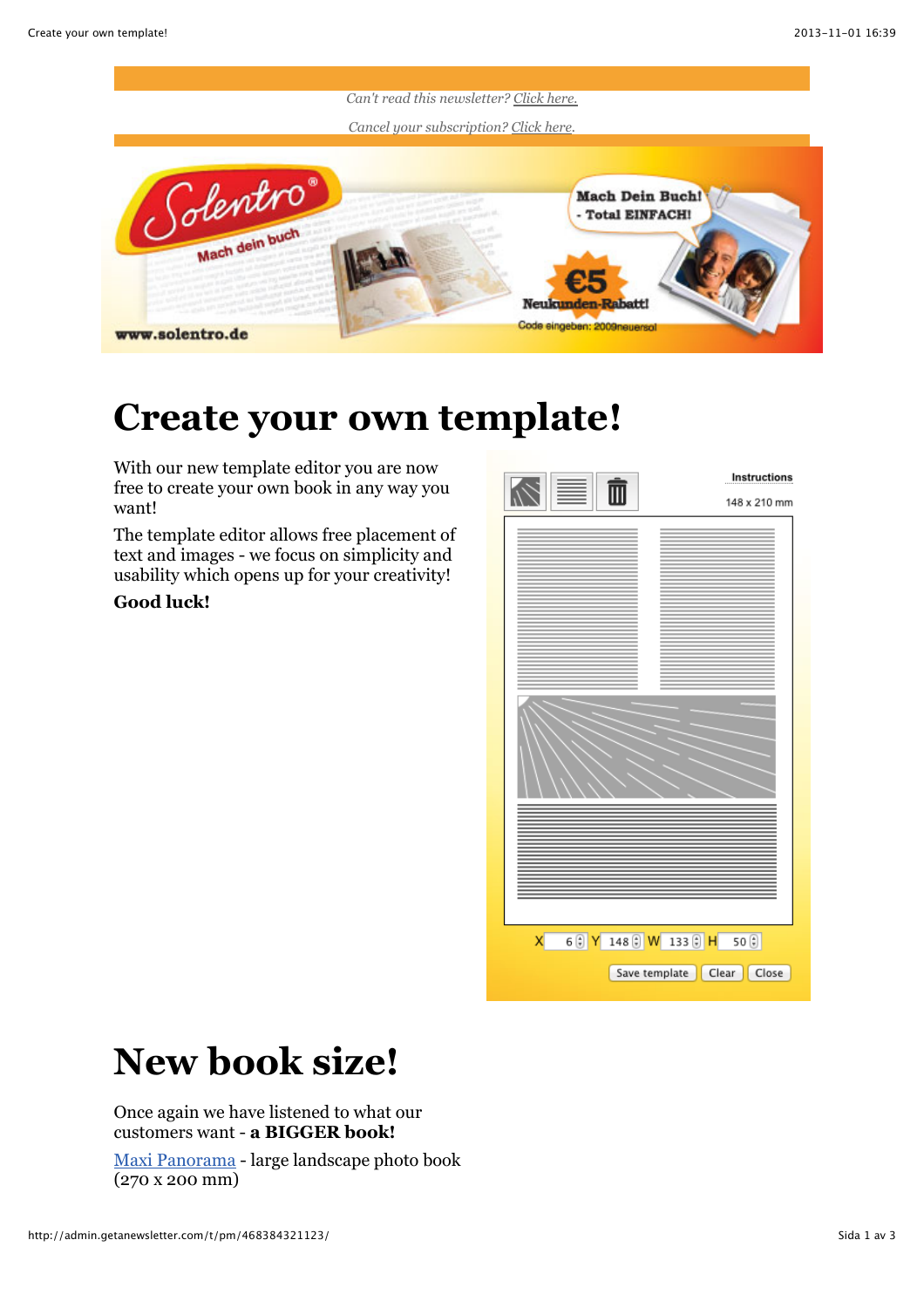

#### **Create your own template!**

With our new template editor you are now free to create your own book in any way you want!

The template editor allows free placement of text and images - we focus on simplicity and usability which opens up for your creativity!

#### **Good luck!**



### **New book size!**

Once again we have listened to what our customers want - **a BIGGER book!**

[Maxi Panorama](http://www.solentro.de/buchformate) - large landscape photo book (270 x 200 mm)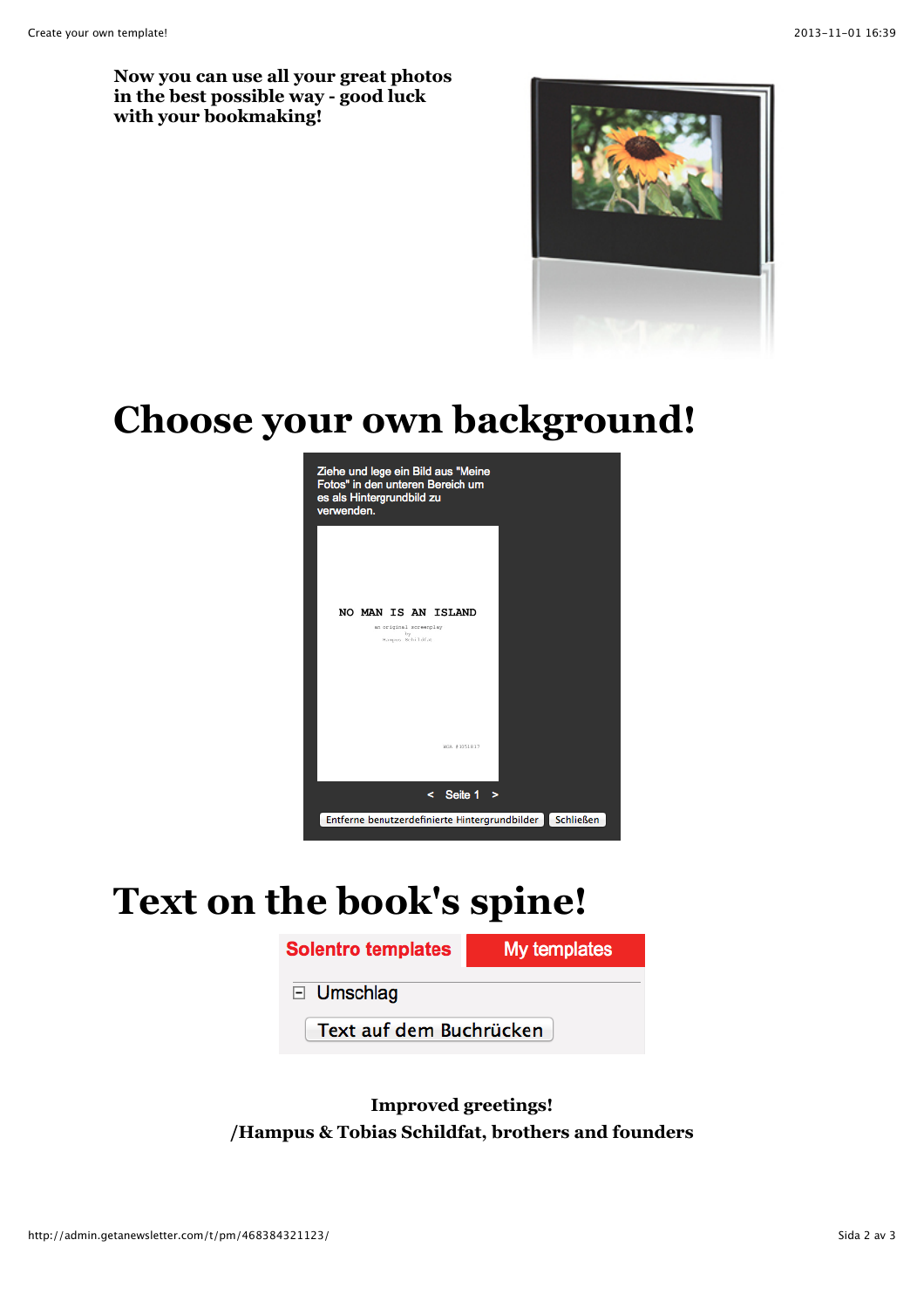**Now you can use all your great photos in the best possible way - good luck with your bookmaking!**



## **Choose your own background!**



# **Text on the book's spine!**



**Improved greetings! /Hampus & Tobias Schildfat, brothers and founders**